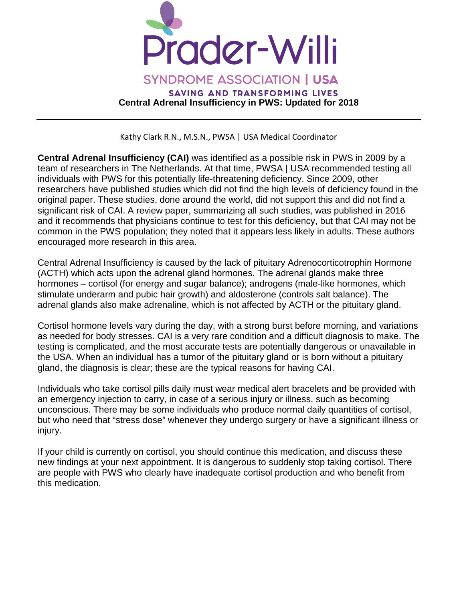

Kathy Clark R.N., M.S.N., PWSA | USA Medical Coordinator

**Central Adrenal Insufficiency (CAI)** was identified as a possible risk in PWS in 2009 by a team of researchers in The Netherlands. At that time, PWSA | USA recommended testing all individuals with PWS for this potentially life-threatening deficiency. Since 2009, other researchers have published studies which did not find the high levels of deficiency found in the original paper. These studies, done around the world, did not support this and did not find a significant risk of CAI. A review paper, summarizing all such studies, was published in 2016 and it recommends that physicians continue to test for this deficiency, but that CAI may not be common in the PWS population; they noted that it appears less likely in adults. These authors encouraged more research in this area.

Central Adrenal Insufficiency is caused by the lack of pituitary Adrenocorticotrophin Hormone (ACTH) which acts upon the adrenal gland hormones. The adrenal glands make three hormones – cortisol (for energy and sugar balance); androgens (male-like hormones, which stimulate underarm and pubic hair growth) and aldosterone (controls salt balance). The adrenal glands also make adrenaline, which is not affected by ACTH or the pituitary gland.

Cortisol hormone levels vary during the day, with a strong burst before morning, and variations as needed for body stresses. CAI is a very rare condition and a difficult diagnosis to make. The testing is complicated, and the most accurate tests are potentially dangerous or unavailable in the USA. When an individual has a tumor of the pituitary gland or is born without a pituitary gland, the diagnosis is clear; these are the typical reasons for having CAI.

Individuals who take cortisol pills daily must wear medical alert bracelets and be provided with an emergency injection to carry, in case of a serious injury or illness, such as becoming unconscious. There may be some individuals who produce normal daily quantities of cortisol, but who need that "stress dose" whenever they undergo surgery or have a significant illness or injury.

If your child is currently on cortisol, you should continue this medication, and discuss these new findings at your next appointment. It is dangerous to suddenly stop taking cortisol. There are people with PWS who clearly have inadequate cortisol production and who benefit from this medication.